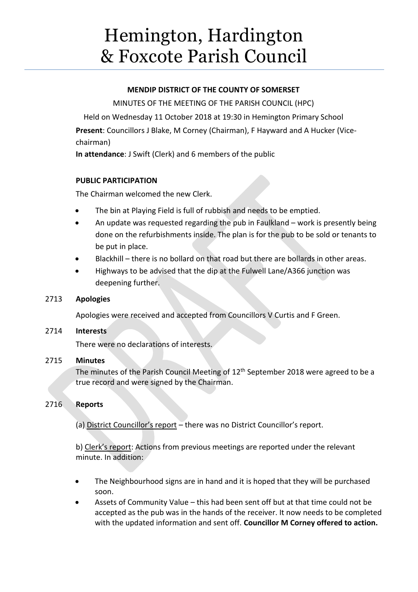# Hemington, Hardington & Foxcote Parish Council

# **MENDIP DISTRICT OF THE COUNTY OF SOMERSET**

MINUTES OF THE MEETING OF THE PARISH COUNCIL (HPC)

Held on Wednesday 11 October 2018 at 19:30 in Hemington Primary School **Present**: Councillors J Blake, M Corney (Chairman), F Hayward and A Hucker (Vicechairman)

**In attendance**: J Swift (Clerk) and 6 members of the public

# **PUBLIC PARTICIPATION**

The Chairman welcomed the new Clerk.

- The bin at Playing Field is full of rubbish and needs to be emptied.
- An update was requested regarding the pub in Faulkland work is presently being done on the refurbishments inside. The plan is for the pub to be sold or tenants to be put in place.
- Blackhill there is no bollard on that road but there are bollards in other areas.
- Highways to be advised that the dip at the Fulwell Lane/A366 junction was deepening further.

# 2713 **Apologies**

Apologies were received and accepted from Councillors V Curtis and F Green.

# 2714 **Interests**

There were no declarations of interests.

# 2715 **Minutes**

The minutes of the Parish Council Meeting of 12<sup>th</sup> September 2018 were agreed to be a true record and were signed by the Chairman.

# 2716 **Reports**

(a) District Councillor's report – there was no District Councillor's report.

b) Clerk's report: Actions from previous meetings are reported under the relevant minute. In addition:

- The Neighbourhood signs are in hand and it is hoped that they will be purchased soon.
- Assets of Community Value this had been sent off but at that time could not be accepted as the pub was in the hands of the receiver. It now needs to be completed with the updated information and sent off. **Councillor M Corney offered to action.**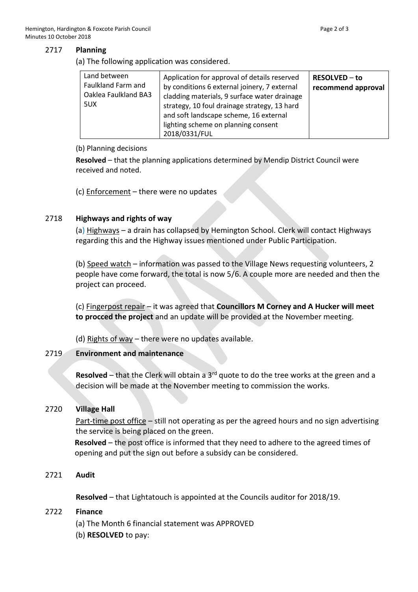#### 2717 **Planning**

(a) The following application was considered.

| Land between<br>Faulkland Farm and<br>Oaklea Faulkland BA3<br>5UX | Application for approval of details reserved<br>by conditions 6 external joinery, 7 external<br>cladding materials, 9 surface water drainage<br>strategy, 10 foul drainage strategy, 13 hard | <b>RESOLVED – to</b><br>recommend approval |
|-------------------------------------------------------------------|----------------------------------------------------------------------------------------------------------------------------------------------------------------------------------------------|--------------------------------------------|
|                                                                   | and soft landscape scheme, 16 external<br>lighting scheme on planning consent<br>2018/0331/FUL                                                                                               |                                            |

#### (b) Planning decisions

**Resolved** – that the planning applications determined by Mendip District Council were received and noted.

(c)  $Enforcement – there were no updates$ </u>

## 2718 **Highways and rights of way**

(a) Highways – a drain has collapsed by Hemington School. Clerk will contact Highways regarding this and the Highway issues mentioned under Public Participation.

(b) Speed watch – information was passed to the Village News requesting volunteers, 2 people have come forward, the total is now 5/6. A couple more are needed and then the project can proceed.

(c) Fingerpost repair – it was agreed that **Councillors M Corney and A Hucker will meet to procced the project** and an update will be provided at the November meeting.

(d) Rights of way – there were no updates available.

# 2719 **Environment and maintenance**

**Resolved** – that the Clerk will obtain a 3rd quote to do the tree works at the green and a decision will be made at the November meeting to commission the works.

## 2720 **Village Hall**

Part-time post office – still not operating as per the agreed hours and no sign advertising the service is being placed on the green.

**Resolved** – the post office is informed that they need to adhere to the agreed times of opening and put the sign out before a subsidy can be considered.

2721 **Audit**

**Resolved** – that Lightatouch is appointed at the Councils auditor for 2018/19.

## 2722 **Finance**

- (a) The Month 6 financial statement was APPROVED
- (b) **RESOLVED** to pay: